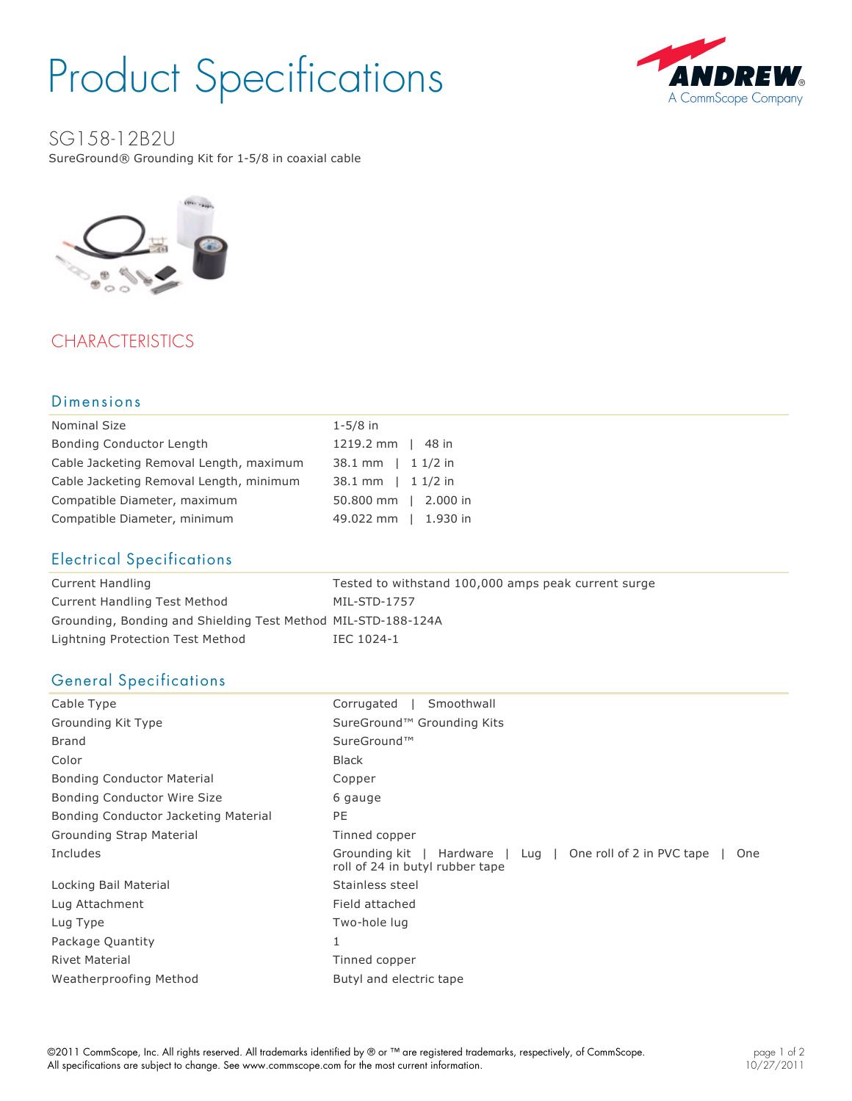# Product Specifications



SG158-12B2U

SureGround® Grounding Kit for 1-5/8 in coaxial cable



# **CHARACTERISTICS**

#### Dimensions

| $1 - 5/8$ in         |
|----------------------|
| 1219.2 mm   48 in    |
| 38.1 mm   1 1/2 in   |
| 38.1 mm   1 1/2 in   |
| 50.800 mm   2.000 in |
| 49.022 mm   1.930 in |
|                      |

## Electrical Specifications

| Current Handling                                              | Tested to withstand 100,000 amps peak current surge |
|---------------------------------------------------------------|-----------------------------------------------------|
| Current Handling Test Method                                  | MIL-STD-1757                                        |
| Grounding, Bonding and Shielding Test Method MIL-STD-188-124A |                                                     |
| Lightning Protection Test Method                              | IEC 1024-1                                          |

# General Specifications

| Corrugated<br>Smoothwall                                                                                |
|---------------------------------------------------------------------------------------------------------|
| SureGround <sup>™</sup> Grounding Kits                                                                  |
| SureGround™                                                                                             |
| <b>Black</b>                                                                                            |
| Copper                                                                                                  |
| 6 gauge                                                                                                 |
| PE                                                                                                      |
| Tinned copper                                                                                           |
| Hardware   Lug   One roll of 2 in PVC tape<br>Grounding kit  <br>One<br>roll of 24 in butyl rubber tape |
| Stainless steel                                                                                         |
| Field attached                                                                                          |
| Two-hole lug                                                                                            |
| 1                                                                                                       |
| Tinned copper                                                                                           |
| Butyl and electric tape                                                                                 |
|                                                                                                         |